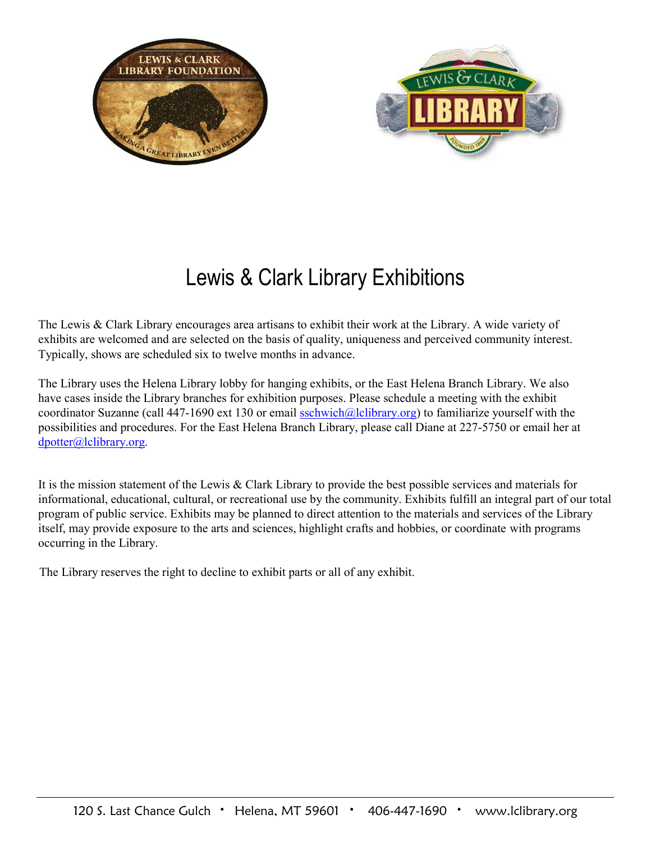

## Lewis & Clark Library Exhibitions

The Lewis & Clark Library encourages area artisans to exhibit their work at the Library. A wide variety of exhibits are welcomed and are selected on the basis of quality, uniqueness and perceived community interest. Typically, shows are scheduled six to twelve months in advance.

The Library uses the Helena Library lobby for hanging exhibits, or the East Helena Branch Library. We also have cases inside the Library branches for exhibition purposes. Please schedule a meeting with the exhibit coordinator Suzanne (call 447-1690 ext 130 or email sschwich@lclibrary.org) to familiarize yourself with the possibilities and procedures. For the East Helena Branch Library, please call Diane at 227-5750 or email her at [dpotter@lclibrary.org.](mailto:dpotter@lclibrary.org)

It is the mission statement of the Lewis & Clark Library to provide the best possible services and materials for informational, educational, cultural, or recreational use by the community. Exhibits fulfill an integral part of our total program of public service. Exhibits may be planned to direct attention to the materials and services of the Library itself, may provide exposure to the arts and sciences, highlight crafts and hobbies, or coordinate with programs occurring in the Library.

The Library reserves the right to decline to exhibit parts or all of any exhibit.